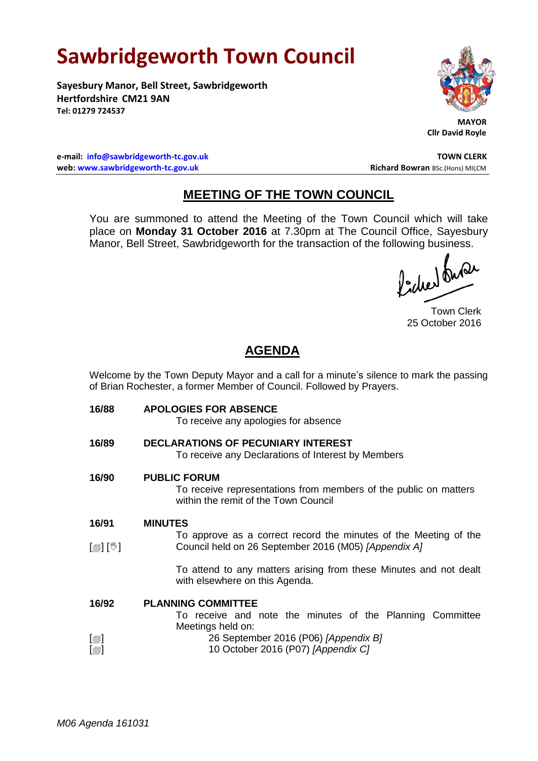## **Sawbridgeworth Town Council**

**Sayesbury Manor, Bell Street, Sawbridgeworth Hertfordshire CM21 9AN Tel: 01279 724537**



 **MAYOR Cllr David Royle**

**e-mail: [info@sawbridgeworth-tc.gov.uk](mailto:info@sawbridgeworth-tc.gov.uk) TOWN CLERK web: www.sawbridgeworth-tc.gov.uk Richard Bowran BSc.(Hons) MILCM Richard Bowran BSc.(Hons) MILCM** 

## **MEETING OF THE TOWN COUNCIL**

You are summoned to attend the Meeting of the Town Council which will take place on **Monday 31 October 2016** at 7.30pm at The Council Office, Sayesbury Manor, Bell Street, Sawbridgeworth for the transaction of the following business.

fidee buse

Town Clerk 25 October 2016

## **AGENDA**

Welcome by the Town Deputy Mayor and a call for a minute's silence to mark the passing of Brian Rochester, a former Member of Council. Followed by Prayers.

**16/88 APOLOGIES FOR ABSENCE** To receive any apologies for absence **16/89 DECLARATIONS OF PECUNIARY INTEREST** To receive any Declarations of Interest by Members **16/90 PUBLIC FORUM** To receive representations from members of the public on matters within the remit of the Town Council **16/91** [(\*) [[] **MINUTES** To approve as a correct record the minutes of the Meeting of the Council held on 26 September 2016 (M05) *[Appendix A]* To attend to any matters arising from these Minutes and not dealt with elsewhere on this Agenda. **16/92**  $\lceil$  $\blacksquare$  $\Box$ **PLANNING COMMITTEE** To receive and note the minutes of the Planning Committee Meetings held on: 26 September 2016 (P06) *[Appendix B]* 10 October 2016 (P07) *[Appendix C]*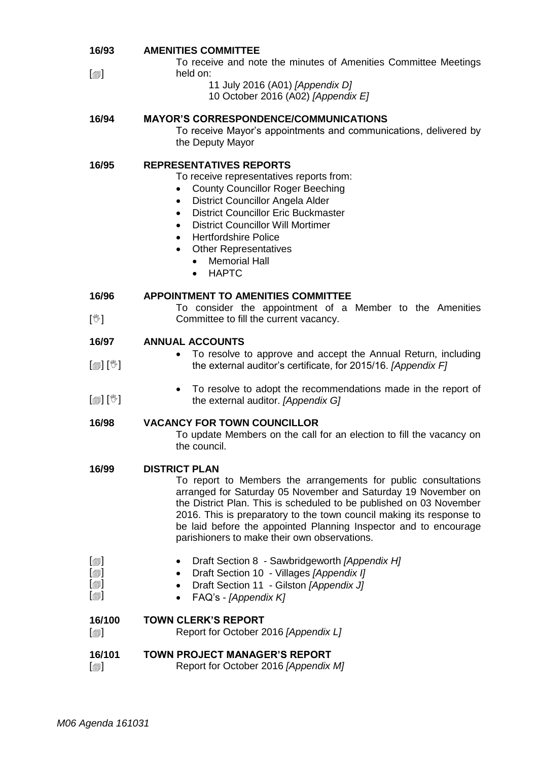| 16/93                                                                                    | <b>AMENITIES COMMITTEE</b><br>To receive and note the minutes of Amenities Committee Meetings<br>held on:                                                                                                                                                                                                                                                                                                                                             |
|------------------------------------------------------------------------------------------|-------------------------------------------------------------------------------------------------------------------------------------------------------------------------------------------------------------------------------------------------------------------------------------------------------------------------------------------------------------------------------------------------------------------------------------------------------|
| $[\blacksquare]$                                                                         | 11 July 2016 (A01) [Appendix D]<br>10 October 2016 (A02) [Appendix E]                                                                                                                                                                                                                                                                                                                                                                                 |
| 16/94                                                                                    | <b>MAYOR'S CORRESPONDENCE/COMMUNICATIONS</b><br>To receive Mayor's appointments and communications, delivered by<br>the Deputy Mayor                                                                                                                                                                                                                                                                                                                  |
| 16/95                                                                                    | <b>REPRESENTATIVES REPORTS</b><br>To receive representatives reports from:<br><b>County Councillor Roger Beeching</b><br>$\bullet$<br>District Councillor Angela Alder<br>$\bullet$<br><b>District Councillor Eric Buckmaster</b><br>$\bullet$<br><b>District Councillor Will Mortimer</b><br>$\bullet$<br><b>Hertfordshire Police</b><br>$\bullet$<br><b>Other Representatives</b><br>$\bullet$<br><b>Memorial Hall</b><br>$\bullet$<br><b>HAPTC</b> |
| 16/96<br>$[\mathbb{V}]$                                                                  | <b>APPOINTMENT TO AMENITIES COMMITTEE</b><br>To consider the appointment of a Member to the Amenities<br>Committee to fill the current vacancy.                                                                                                                                                                                                                                                                                                       |
| 16/97                                                                                    | <b>ANNUAL ACCOUNTS</b>                                                                                                                                                                                                                                                                                                                                                                                                                                |
| $\mathbb{D}[\mathbb{D}^1]$                                                               | To resolve to approve and accept the Annual Return, including<br>the external auditor's certificate, for 2015/16. [Appendix F]                                                                                                                                                                                                                                                                                                                        |
| $\mathbb{D}[\mathbb{D}^1]$                                                               | To resolve to adopt the recommendations made in the report of<br>$\bullet$<br>the external auditor. [Appendix G]                                                                                                                                                                                                                                                                                                                                      |
| 16/98                                                                                    | <b>VACANCY FOR TOWN COUNCILLOR</b><br>To update Members on the call for an election to fill the vacancy on<br>the council.                                                                                                                                                                                                                                                                                                                            |
| 16/99                                                                                    | <b>DISTRICT PLAN</b><br>To report to Members the arrangements for public consultations<br>arranged for Saturday 05 November and Saturday 19 November on<br>the District Plan. This is scheduled to be published on 03 November<br>2016. This is preparatory to the town council making its response to<br>be laid before the appointed Planning Inspector and to encourage<br>parishioners to make their own observations.                            |
| $[\blacksquare]$<br>$\textsf{[}$<br>$\lbrack \oplus \rbrack$<br>$\lbrack \oplus \rbrack$ | Draft Section 8 - Sawbridgeworth [Appendix H]<br>Draft Section 10 - Villages [Appendix I]<br>Draft Section 11 - Gilston [Appendix J]<br>FAQ's - [Appendix K]                                                                                                                                                                                                                                                                                          |
| 16/100<br>$[\blacksquare]$                                                               | <b>TOWN CLERK'S REPORT</b><br>Report for October 2016 [Appendix L]                                                                                                                                                                                                                                                                                                                                                                                    |
| 16/101<br>$\lbrack \circledcirc \rbrack$                                                 | <b>TOWN PROJECT MANAGER'S REPORT</b><br>Report for October 2016 [Appendix M]                                                                                                                                                                                                                                                                                                                                                                          |